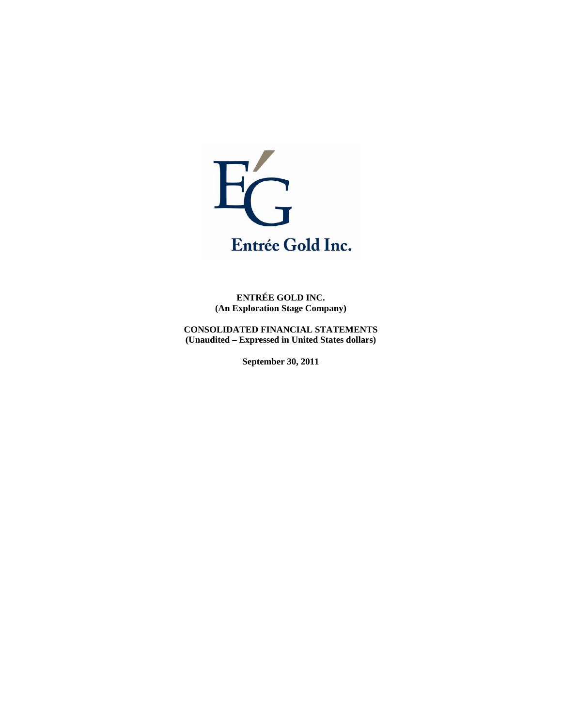

**ENTRÉE GOLD INC. (An Exploration Stage Company)** 

**CONSOLIDATED FINANCIAL STATEMENTS (Unaudited – Expressed in United States dollars)** 

**September 30, 2011**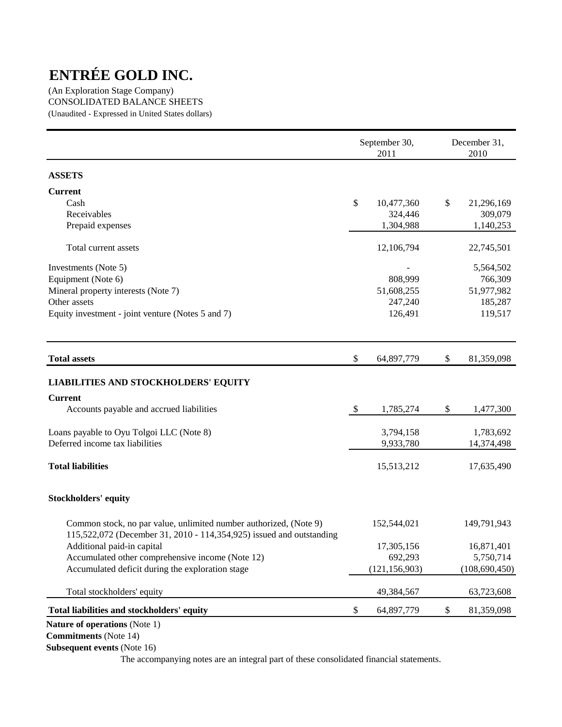(An Exploration Stage Company) CONSOLIDATED BALANCE SHEETS (Unaudited - Expressed in United States dollars)

|                                                                                                                                           |               | September 30,<br>2011 | December 31,<br>2010 |
|-------------------------------------------------------------------------------------------------------------------------------------------|---------------|-----------------------|----------------------|
| <b>ASSETS</b>                                                                                                                             |               |                       |                      |
| <b>Current</b>                                                                                                                            |               |                       |                      |
| Cash                                                                                                                                      | \$            | 10,477,360            | \$<br>21,296,169     |
| Receivables                                                                                                                               |               | 324,446               | 309,079              |
| Prepaid expenses                                                                                                                          |               | 1,304,988             | 1,140,253            |
| Total current assets                                                                                                                      |               | 12,106,794            | 22,745,501           |
| Investments (Note 5)                                                                                                                      |               |                       | 5,564,502            |
| Equipment (Note 6)                                                                                                                        |               | 808,999               | 766,309              |
| Mineral property interests (Note 7)                                                                                                       |               | 51,608,255            | 51,977,982           |
| Other assets                                                                                                                              |               | 247,240               | 185,287              |
| Equity investment - joint venture (Notes 5 and 7)                                                                                         |               | 126,491               | 119,517              |
| <b>Total assets</b>                                                                                                                       | \$            | 64,897,779            | \$<br>81,359,098     |
| <b>LIABILITIES AND STOCKHOLDERS' EQUITY</b>                                                                                               |               |                       |                      |
| <b>Current</b>                                                                                                                            |               |                       |                      |
| Accounts payable and accrued liabilities                                                                                                  | $\mathcal{S}$ | 1,785,274             | \$<br>1,477,300      |
|                                                                                                                                           |               |                       |                      |
| Loans payable to Oyu Tolgoi LLC (Note 8)                                                                                                  |               | 3,794,158             | 1,783,692            |
| Deferred income tax liabilities                                                                                                           |               | 9,933,780             | 14,374,498           |
| <b>Total liabilities</b>                                                                                                                  |               | 15,513,212            | 17,635,490           |
| <b>Stockholders' equity</b>                                                                                                               |               |                       |                      |
| Common stock, no par value, unlimited number authorized, (Note 9)<br>115,522,072 (December 31, 2010 - 114,354,925) issued and outstanding |               | 152,544,021           | 149,791,943          |
| Additional paid-in capital                                                                                                                |               | 17,305,156            | 16,871,401           |
| Accumulated other comprehensive income (Note 12)                                                                                          |               | 692,293               | 5,750,714            |
| Accumulated deficit during the exploration stage                                                                                          |               | (121, 156, 903)       | (108, 690, 450)      |
| Total stockholders' equity                                                                                                                |               | 49,384,567            | 63,723,608           |
| Total liabilities and stockholders' equity                                                                                                | \$            | 64,897,779            | \$<br>81,359,098     |
| Nature of operations (Note 1)                                                                                                             |               |                       |                      |

**Commitments** (Note 14)

**Subsequent events** (Note 16)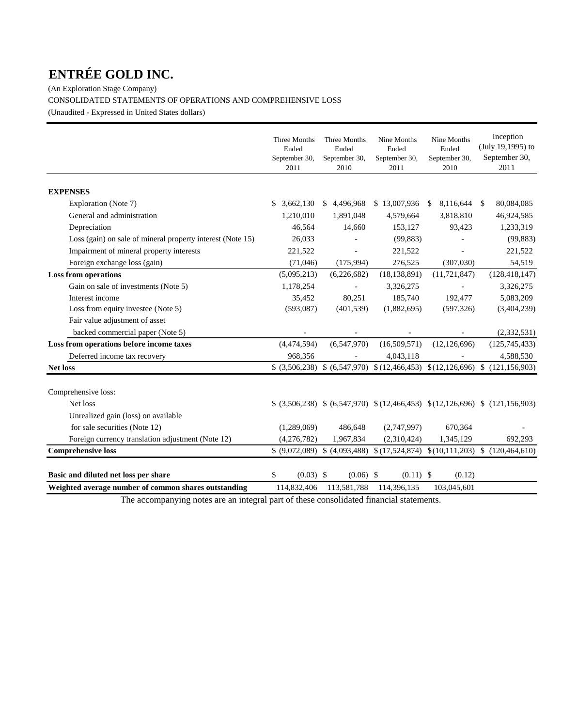(An Exploration Stage Company) CONSOLIDATED STATEMENTS OF OPERATIONS AND COMPREHENSIVE LOSS (Unaudited - Expressed in United States dollars)

|                                                            | Three Months<br>Ended<br>September 30,<br>2011 | Three Months<br>Ended<br>September 30,<br>2010 | Nine Months<br>Ended<br>September 30,<br>2011 | Nine Months<br>Ended<br>September 30,<br>2010 | Inception<br>(July 19,1995) to<br>September 30,<br>2011                             |
|------------------------------------------------------------|------------------------------------------------|------------------------------------------------|-----------------------------------------------|-----------------------------------------------|-------------------------------------------------------------------------------------|
|                                                            |                                                |                                                |                                               |                                               |                                                                                     |
| <b>EXPENSES</b>                                            |                                                |                                                |                                               |                                               |                                                                                     |
| Exploration (Note 7)                                       | 3,662,130<br>\$.                               | 4,496,968<br><sup>S</sup>                      | \$13,007,936                                  | 8,116,644<br><sup>S</sup>                     | 80,084,085<br>$\mathcal{S}$                                                         |
| General and administration                                 | 1,210,010                                      | 1,891,048                                      | 4,579,664                                     | 3,818,810                                     | 46,924,585                                                                          |
| Depreciation                                               | 46,564                                         | 14,660                                         | 153,127                                       | 93,423                                        | 1,233,319                                                                           |
| Loss (gain) on sale of mineral property interest (Note 15) | 26,033                                         |                                                | (99, 883)                                     |                                               | (99, 883)                                                                           |
| Impairment of mineral property interests                   | 221,522                                        |                                                | 221,522                                       |                                               | 221,522                                                                             |
| Foreign exchange loss (gain)                               | (71,046)                                       | (175, 994)                                     | 276,525                                       | (307,030)                                     | 54,519                                                                              |
| <b>Loss from operations</b>                                | (5,095,213)                                    | (6,226,682)                                    | (18, 138, 891)                                | (11, 721, 847)                                | (128, 418, 147)                                                                     |
| Gain on sale of investments (Note 5)                       | 1,178,254                                      | $\blacksquare$                                 | 3,326,275                                     |                                               | 3,326,275                                                                           |
| Interest income                                            | 35,452                                         | 80,251                                         | 185,740                                       | 192,477                                       | 5,083,209                                                                           |
| Loss from equity investee (Note 5)                         | (593,087)                                      | (401, 539)                                     | (1,882,695)                                   | (597, 326)                                    | (3,404,239)                                                                         |
| Fair value adjustment of asset                             |                                                |                                                |                                               |                                               |                                                                                     |
| backed commercial paper (Note 5)                           |                                                |                                                |                                               |                                               | (2, 332, 531)                                                                       |
| Loss from operations before income taxes                   | (4,474,594)                                    | (6,547,970)                                    | (16,509,571)                                  | (12, 126, 696)                                | (125, 745, 433)                                                                     |
| Deferred income tax recovery                               | 968,356                                        |                                                | 4,043,118                                     |                                               | 4,588,530                                                                           |
| <b>Net loss</b>                                            |                                                |                                                |                                               |                                               | $$$ (3,506,238) $$$ (6,547,970) $$$ (12,466,453) $$$ (12,126,696) $$$ (121,156,903) |
| Comprehensive loss:                                        |                                                |                                                |                                               |                                               |                                                                                     |
| Net loss                                                   |                                                |                                                |                                               |                                               | $(3,506,238)$ $(6,547,970)$ $(12,466,453)$ $(12,126,696)$ $(121,156,903)$           |
| Unrealized gain (loss) on available                        |                                                |                                                |                                               |                                               |                                                                                     |
| for sale securities (Note 12)                              | (1,289,069)                                    | 486,648                                        | (2,747,997)                                   | 670,364                                       |                                                                                     |
| Foreign currency translation adjustment (Note 12)          | (4,276,782)                                    | 1,967,834                                      | (2,310,424)                                   | 1,345,129                                     | 692,293                                                                             |
| <b>Comprehensive loss</b>                                  |                                                | $(9,072,089)$ \$ $(4,093,488)$                 |                                               |                                               | $(17,524,874)$ $(10,111,203)$ $(120,464,610)$                                       |
| Basic and diluted net loss per share                       | \$<br>$(0.03)$ \$                              | $(0.06)$ \$                                    | $(0.11)$ \$                                   | (0.12)                                        |                                                                                     |
| Weighted average number of common shares outstanding       | 114,832,406                                    | 113.581.788                                    | 114,396,135                                   | 103,045,601                                   |                                                                                     |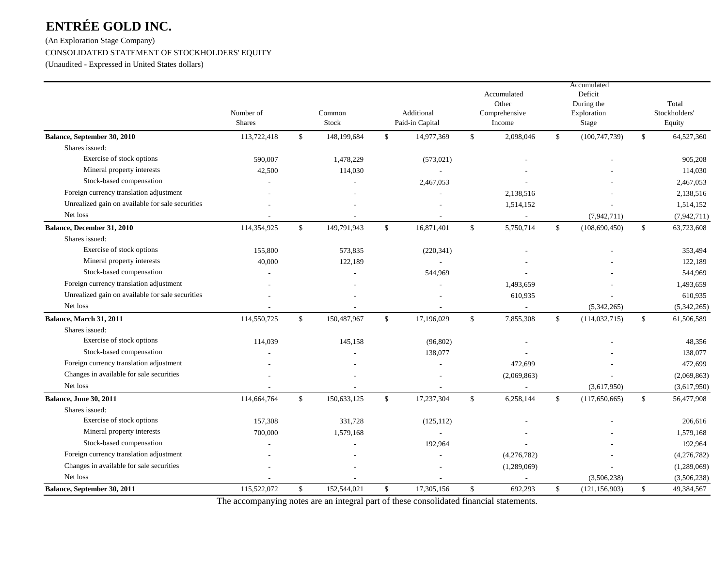# (An Exploration Stage Company) CONSOLIDATED STATEMENT OF STOCKHOLDERS' EQUITY (Unaudited - Expressed in United States dollars)

|                                                  | Number of<br><b>Shares</b> |              | Additional<br>Common<br>Stock<br>Paid-in Capital |              |            | Accumulated<br>Other<br>Comprehensive<br>Income |             |              | Accumulated<br>Deficit<br>During the<br>Exploration<br>Stage | Total<br>Stockholders'<br>Equity |  |
|--------------------------------------------------|----------------------------|--------------|--------------------------------------------------|--------------|------------|-------------------------------------------------|-------------|--------------|--------------------------------------------------------------|----------------------------------|--|
| Balance, September 30, 2010                      | 113,722,418                | \$           | 148,199,684                                      | \$           | 14,977,369 | \$                                              | 2,098,046   | \$           | (100, 747, 739)                                              | \$<br>64,527,360                 |  |
| Shares issued:                                   |                            |              |                                                  |              |            |                                                 |             |              |                                                              |                                  |  |
| Exercise of stock options                        | 590,007                    |              | 1,478,229                                        |              | (573, 021) |                                                 |             |              |                                                              | 905,208                          |  |
| Mineral property interests                       | 42,500                     |              | 114,030                                          |              |            |                                                 |             |              |                                                              | 114,030                          |  |
| Stock-based compensation                         | $\overline{\phantom{a}}$   |              |                                                  |              | 2,467,053  |                                                 |             |              |                                                              | 2,467,053                        |  |
| Foreign currency translation adjustment          |                            |              |                                                  |              |            |                                                 | 2,138,516   |              |                                                              | 2,138,516                        |  |
| Unrealized gain on available for sale securities |                            |              |                                                  |              |            |                                                 | 1,514,152   |              |                                                              | 1,514,152                        |  |
| Net loss                                         |                            |              |                                                  |              |            |                                                 | $\sim$      |              | (7,942,711)                                                  | (7,942,711)                      |  |
| Balance, December 31, 2010                       | 114,354,925                | $\mathbb{S}$ | 149,791,943                                      | $\mathbb{S}$ | 16,871,401 | \$                                              | 5,750,714   | \$           | (108, 690, 450)                                              | \$<br>63,723,608                 |  |
| Shares issued:                                   |                            |              |                                                  |              |            |                                                 |             |              |                                                              |                                  |  |
| Exercise of stock options                        | 155,800                    |              | 573,835                                          |              | (220, 341) |                                                 |             |              |                                                              | 353,494                          |  |
| Mineral property interests                       | 40,000                     |              | 122,189                                          |              |            |                                                 |             |              |                                                              | 122,189                          |  |
| Stock-based compensation                         |                            |              |                                                  |              | 544,969    |                                                 |             |              |                                                              | 544,969                          |  |
| Foreign currency translation adjustment          |                            |              |                                                  |              |            |                                                 | 1,493,659   |              |                                                              | 1,493,659                        |  |
| Unrealized gain on available for sale securities |                            |              |                                                  |              |            |                                                 | 610,935     |              |                                                              | 610,935                          |  |
| Net loss                                         |                            |              |                                                  |              |            |                                                 | $\sim$      |              | (5,342,265)                                                  | (5,342,265)                      |  |
| Balance, March 31, 2011                          | 114,550,725                | $\mathbb{S}$ | 150,487,967                                      | $\mathbb{S}$ | 17,196,029 | \$                                              | 7,855,308   | \$           | (114, 032, 715)                                              | \$<br>61,506,589                 |  |
| Shares issued:                                   |                            |              |                                                  |              |            |                                                 |             |              |                                                              |                                  |  |
| Exercise of stock options                        | 114,039                    |              | 145,158                                          |              | (96, 802)  |                                                 |             |              |                                                              | 48,356                           |  |
| Stock-based compensation                         |                            |              |                                                  |              | 138,077    |                                                 |             |              |                                                              | 138,077                          |  |
| Foreign currency translation adjustment          |                            |              |                                                  |              |            |                                                 | 472,699     |              |                                                              | 472,699                          |  |
| Changes in available for sale securities         |                            |              |                                                  |              |            |                                                 | (2,069,863) |              |                                                              | (2,069,863)                      |  |
| Net loss                                         |                            |              |                                                  |              |            |                                                 |             |              | (3,617,950)                                                  | (3,617,950)                      |  |
| <b>Balance, June 30, 2011</b>                    | 114,664,764                | $\mathbb{S}$ | 150,633,125                                      | \$           | 17,237,304 | \$                                              | 6,258,144   | \$           | (117, 650, 665)                                              | \$<br>56,477,908                 |  |
| Shares issued:                                   |                            |              |                                                  |              |            |                                                 |             |              |                                                              |                                  |  |
| Exercise of stock options                        | 157,308                    |              | 331.728                                          |              | (125, 112) |                                                 |             |              |                                                              | 206,616                          |  |
| Mineral property interests                       | 700,000                    |              | 1,579,168                                        |              |            |                                                 |             |              |                                                              | 1,579,168                        |  |
| Stock-based compensation                         |                            |              |                                                  |              | 192,964    |                                                 |             |              |                                                              | 192,964                          |  |
| Foreign currency translation adjustment          |                            |              |                                                  |              |            |                                                 | (4,276,782) |              |                                                              | (4,276,782)                      |  |
| Changes in available for sale securities         |                            |              |                                                  |              |            |                                                 | (1,289,069) |              |                                                              | (1,289,069)                      |  |
| Net loss                                         |                            |              |                                                  |              |            |                                                 |             |              | (3,506,238)                                                  | (3,506,238)                      |  |
| Balance, September 30, 2011                      | 115,522,072                | \$           | 152,544,021                                      | $\mathbb{S}$ | 17,305,156 | \$                                              | 692,293     | $\mathbb{S}$ | (121, 156, 903)                                              | \$<br>49,384,567                 |  |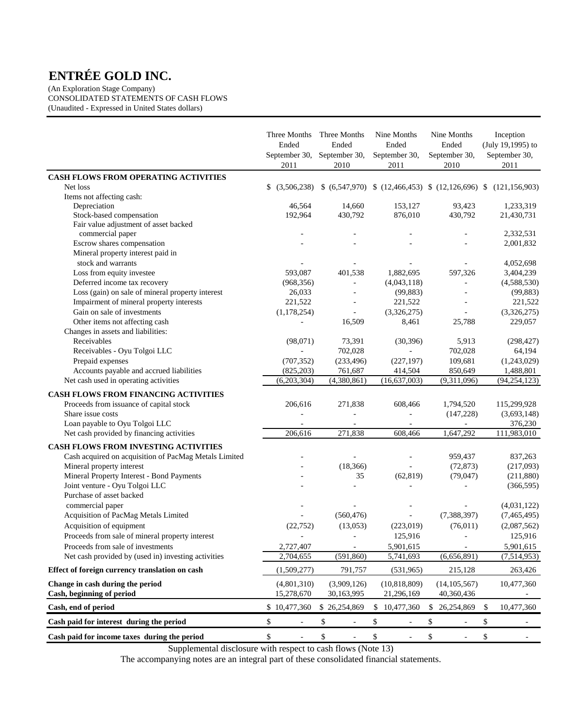(An Exploration Stage Company) CONSOLIDATED STATEMENTS OF CASH FLOWS (Unaudited - Expressed in United States dollars)

|                                                           | Three Months<br>Ended<br>September 30,<br>2011 | Three Months<br>Ended<br>September 30,<br>2010 |              | Nine Months<br>Ended<br>September 30,<br>2011 | Nine Months<br>Ended<br>September 30,<br>2010 |              | Inception<br>(July 19,1995) to<br>September 30,<br>2011     |
|-----------------------------------------------------------|------------------------------------------------|------------------------------------------------|--------------|-----------------------------------------------|-----------------------------------------------|--------------|-------------------------------------------------------------|
| CASH FLOWS FROM OPERATING ACTIVITIES                      |                                                |                                                |              |                                               |                                               |              |                                                             |
| Net loss                                                  | \$ (3,506,238)                                 |                                                |              |                                               |                                               |              | $(6,547,970)$ $(12,466,453)$ $(12,126,696)$ $(121,156,903)$ |
| Items not affecting cash:                                 |                                                |                                                |              |                                               |                                               |              |                                                             |
| Depreciation                                              | 46,564                                         | 14,660                                         |              | 153,127                                       | 93,423                                        |              | 1,233,319                                                   |
| Stock-based compensation                                  | 192,964                                        | 430,792                                        |              | 876,010                                       | 430,792                                       |              | 21,430,731                                                  |
| Fair value adjustment of asset backed<br>commercial paper |                                                |                                                |              |                                               |                                               |              | 2,332,531                                                   |
| Escrow shares compensation                                |                                                |                                                |              |                                               |                                               |              | 2,001,832                                                   |
| Mineral property interest paid in                         |                                                |                                                |              |                                               |                                               |              |                                                             |
| stock and warrants                                        |                                                |                                                |              |                                               |                                               |              | 4,052,698                                                   |
| Loss from equity investee                                 | 593,087                                        | 401,538                                        |              | 1,882,695                                     | 597,326                                       |              | 3,404,239                                                   |
| Deferred income tax recovery                              | (968, 356)                                     | ÷,                                             |              | (4,043,118)                                   | L,                                            |              | (4,588,530)                                                 |
| Loss (gain) on sale of mineral property interest          | 26,033                                         |                                                |              | (99, 883)                                     |                                               |              | (99, 883)                                                   |
| Impairment of mineral property interests                  | 221,522                                        | $\blacksquare$                                 |              | 221,522                                       |                                               |              | 221,522                                                     |
| Gain on sale of investments                               | (1, 178, 254)                                  | $\blacksquare$                                 |              | (3,326,275)                                   | $\sim$                                        |              | (3,326,275)                                                 |
| Other items not affecting cash                            |                                                | 16,509                                         |              | 8,461                                         | 25,788                                        |              | 229,057                                                     |
| Changes in assets and liabilities:                        |                                                |                                                |              |                                               |                                               |              |                                                             |
| Receivables                                               | (98,071)                                       | 73,391                                         |              | (30, 396)                                     | 5,913                                         |              | (298, 427)                                                  |
| Receivables - Oyu Tolgoi LLC                              | $\frac{1}{2}$                                  | 702,028                                        |              |                                               | 702,028                                       |              | 64,194                                                      |
| Prepaid expenses                                          | (707, 352)                                     | (233, 496)                                     |              | (227, 197)                                    | 109,681                                       |              | (1,243,029)                                                 |
| Accounts payable and accrued liabilities                  | (825, 203)                                     | 761,687                                        |              | 414,504                                       | 850,649                                       |              | 1,488,801                                                   |
| Net cash used in operating activities                     | (6,203,304)                                    | (4,380,861)                                    |              | (16, 637, 003)                                | (9,311,096)                                   |              | (94, 254, 123)                                              |
| <b>CASH FLOWS FROM FINANCING ACTIVITIES</b>               |                                                |                                                |              |                                               |                                               |              |                                                             |
| Proceeds from issuance of capital stock                   | 206,616                                        | 271,838                                        |              | 608,466                                       | 1,794,520                                     |              | 115,299,928                                                 |
| Share issue costs                                         |                                                |                                                |              |                                               | (147,228)                                     |              | (3,693,148)                                                 |
| Loan payable to Oyu Tolgoi LLC                            |                                                |                                                |              |                                               |                                               |              | 376,230                                                     |
| Net cash provided by financing activities                 | 206,616                                        | 271,838                                        |              | 608,466                                       | 1,647,292                                     |              | 111,983,010                                                 |
| <b>CASH FLOWS FROM INVESTING ACTIVITIES</b>               |                                                |                                                |              |                                               |                                               |              |                                                             |
| Cash acquired on acquisition of PacMag Metals Limited     |                                                | ÷,                                             |              |                                               | 959,437                                       |              | 837,263                                                     |
| Mineral property interest                                 |                                                | (18, 366)                                      |              | $\overline{a}$                                | (72, 873)                                     |              | (217,093)                                                   |
| Mineral Property Interest - Bond Payments                 |                                                | 35                                             |              | (62, 819)                                     | (79, 047)                                     |              | (211,880)                                                   |
| Joint venture - Oyu Tolgoi LLC                            |                                                |                                                |              |                                               |                                               |              | (366, 595)                                                  |
| Purchase of asset backed                                  |                                                |                                                |              |                                               |                                               |              |                                                             |
| commercial paper                                          |                                                |                                                |              |                                               |                                               |              | (4,031,122)                                                 |
| Acquisition of PacMag Metals Limited                      |                                                | (560, 476)                                     |              |                                               | (7,388,397)                                   |              | (7,465,495)                                                 |
| Acquisition of equipment                                  | (22, 752)                                      | (13,053)                                       |              | (223,019)                                     | (76, 011)                                     |              | (2,087,562)                                                 |
| Proceeds from sale of mineral property interest           |                                                |                                                |              | 125,916                                       |                                               |              | 125,916                                                     |
| Proceeds from sale of investments                         | 2,727,407                                      |                                                |              | 5,901,615                                     |                                               |              | 5,901,615                                                   |
| Net cash provided by (used in) investing activities       | 2,704,655                                      | (591, 860)                                     |              | 5,741,693                                     | (6,656,891)                                   |              | (7, 514, 953)                                               |
| Effect of foreign currency translation on cash            | (1,509,277)                                    | 791,757                                        |              | (531,965)                                     | 215,128                                       |              | 263,426                                                     |
| Change in cash during the period                          | (4,801,310)                                    | (3,909,126)                                    |              | (10,818,809)                                  | (14, 105, 567)                                |              | 10,477,360                                                  |
| Cash, beginning of period                                 | 15,278,670                                     | 30,163,995                                     |              | 21,296,169                                    | 40,360,436                                    |              |                                                             |
| Cash, end of period                                       | \$10,477,360                                   | \$26,254,869                                   | \$           | 10,477,360                                    | \$ 26,254,869                                 | \$           | 10,477,360                                                  |
| Cash paid for interest during the period                  | \$                                             | \$                                             | \$           |                                               | \$                                            | \$           |                                                             |
| Cash paid for income taxes during the period              | \$<br>$\blacksquare$                           | \$<br>$\blacksquare$                           | $\mathbb{S}$ | ÷,                                            | \$                                            | $\mathbb{S}$ |                                                             |

Supplemental disclosure with respect to cash flows (Note 13)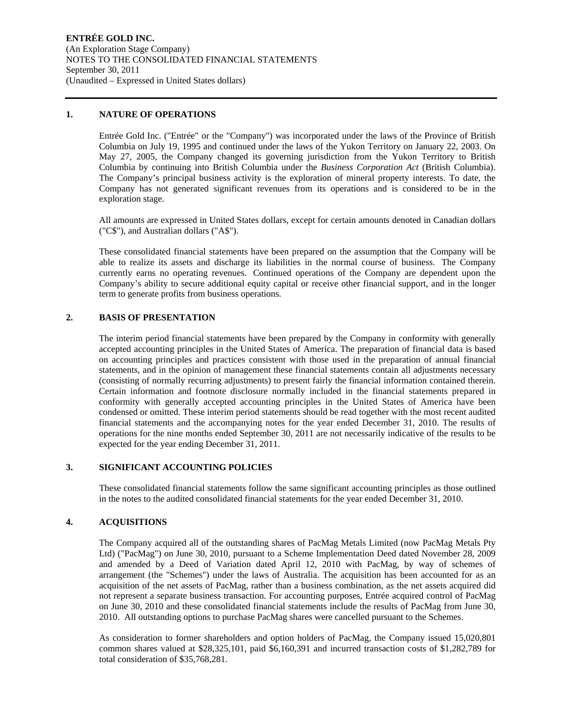#### **1. NATURE OF OPERATIONS**

Entrée Gold Inc. ("Entrée" or the "Company") was incorporated under the laws of the Province of British Columbia on July 19, 1995 and continued under the laws of the Yukon Territory on January 22, 2003. On May 27, 2005, the Company changed its governing jurisdiction from the Yukon Territory to British Columbia by continuing into British Columbia under the *Business Corporation Act* (British Columbia). The Company's principal business activity is the exploration of mineral property interests. To date, the Company has not generated significant revenues from its operations and is considered to be in the exploration stage.

All amounts are expressed in United States dollars, except for certain amounts denoted in Canadian dollars ("C\$"), and Australian dollars ("A\$").

These consolidated financial statements have been prepared on the assumption that the Company will be able to realize its assets and discharge its liabilities in the normal course of business. The Company currently earns no operating revenues. Continued operations of the Company are dependent upon the Company's ability to secure additional equity capital or receive other financial support, and in the longer term to generate profits from business operations.

#### **2. BASIS OF PRESENTATION**

The interim period financial statements have been prepared by the Company in conformity with generally accepted accounting principles in the United States of America. The preparation of financial data is based on accounting principles and practices consistent with those used in the preparation of annual financial statements, and in the opinion of management these financial statements contain all adjustments necessary (consisting of normally recurring adjustments) to present fairly the financial information contained therein. Certain information and footnote disclosure normally included in the financial statements prepared in conformity with generally accepted accounting principles in the United States of America have been condensed or omitted. These interim period statements should be read together with the most recent audited financial statements and the accompanying notes for the year ended December 31, 2010. The results of operations for the nine months ended September 30, 2011 are not necessarily indicative of the results to be expected for the year ending December 31, 2011.

## **3. SIGNIFICANT ACCOUNTING POLICIES**

These consolidated financial statements follow the same significant accounting principles as those outlined in the notes to the audited consolidated financial statements for the year ended December 31, 2010.

## **4. ACQUISITIONS**

The Company acquired all of the outstanding shares of PacMag Metals Limited (now PacMag Metals Pty Ltd) ("PacMag") on June 30, 2010, pursuant to a Scheme Implementation Deed dated November 28, 2009 and amended by a Deed of Variation dated April 12, 2010 with PacMag, by way of schemes of arrangement (the "Schemes") under the laws of Australia. The acquisition has been accounted for as an acquisition of the net assets of PacMag, rather than a business combination, as the net assets acquired did not represent a separate business transaction. For accounting purposes, Entrée acquired control of PacMag on June 30, 2010 and these consolidated financial statements include the results of PacMag from June 30, 2010. All outstanding options to purchase PacMag shares were cancelled pursuant to the Schemes.

As consideration to former shareholders and option holders of PacMag, the Company issued 15,020,801 common shares valued at \$28,325,101, paid \$6,160,391 and incurred transaction costs of \$1,282,789 for total consideration of \$35,768,281.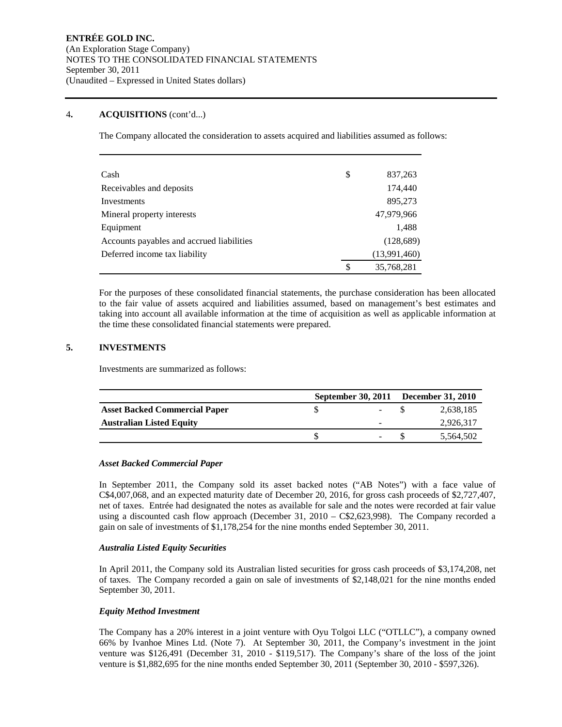### 4**. ACQUISITIONS** (cont'd...)

The Company allocated the consideration to assets acquired and liabilities assumed as follows:

| Cash                                      | \$<br>837,263    |
|-------------------------------------------|------------------|
| Receivables and deposits                  | 174,440          |
| Investments                               | 895,273          |
| Mineral property interests                | 47,979,966       |
| Equipment                                 | 1,488            |
| Accounts payables and accrued liabilities | (128, 689)       |
| Deferred income tax liability             | (13,991,460)     |
|                                           | \$<br>35,768,281 |

For the purposes of these consolidated financial statements, the purchase consideration has been allocated to the fair value of assets acquired and liabilities assumed, based on management's best estimates and taking into account all available information at the time of acquisition as well as applicable information at the time these consolidated financial statements were prepared.

# **5. INVESTMENTS**

Investments are summarized as follows:

|                                      |  | September 30, 2011 December 31, 2010 |
|--------------------------------------|--|--------------------------------------|
| <b>Asset Backed Commercial Paper</b> |  | 2,638,185                            |
| <b>Australian Listed Equity</b>      |  | 2,926,317                            |
|                                      |  | 5,564,502                            |

### *Asset Backed Commercial Paper*

In September 2011, the Company sold its asset backed notes ("AB Notes") with a face value of C\$4,007,068, and an expected maturity date of December 20, 2016, for gross cash proceeds of \$2,727,407, net of taxes. Entrée had designated the notes as available for sale and the notes were recorded at fair value using a discounted cash flow approach (December 31,  $2010 - C\$ \$2,623,998). The Company recorded a gain on sale of investments of \$1,178,254 for the nine months ended September 30, 2011.

#### *Australia Listed Equity Securities*

In April 2011, the Company sold its Australian listed securities for gross cash proceeds of \$3,174,208, net of taxes. The Company recorded a gain on sale of investments of \$2,148,021 for the nine months ended September 30, 2011.

## *Equity Method Investment*

The Company has a 20% interest in a joint venture with Oyu Tolgoi LLC ("OTLLC"), a company owned 66% by Ivanhoe Mines Ltd. (Note 7). At September 30, 2011, the Company's investment in the joint venture was \$126,491 (December 31, 2010 - \$119,517). The Company's share of the loss of the joint venture is \$1,882,695 for the nine months ended September 30, 2011 (September 30, 2010 - \$597,326).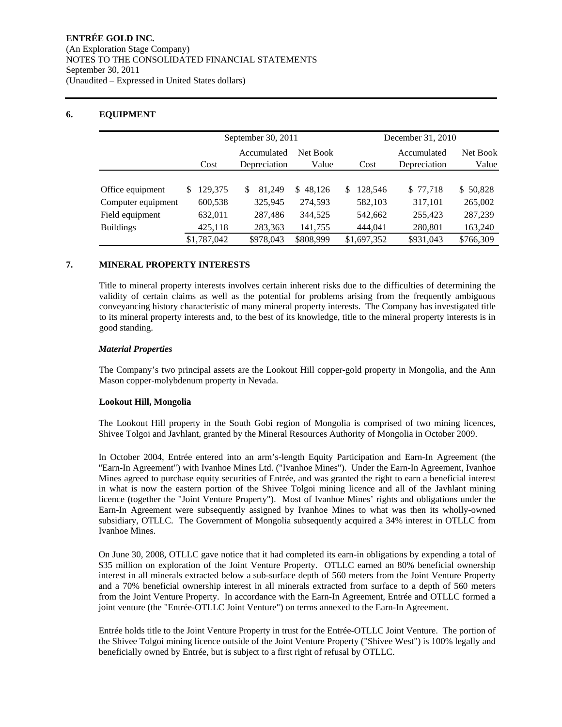## **6. EQUIPMENT**

|                    |              | September 30, 2011 |           | December 31, 2010 |              |           |  |  |  |
|--------------------|--------------|--------------------|-----------|-------------------|--------------|-----------|--|--|--|
|                    |              | Accumulated        | Net Book  |                   | Accumulated  | Net Book  |  |  |  |
|                    | Cost         | Depreciation       | Value     | Cost              | Depreciation | Value     |  |  |  |
|                    |              |                    |           |                   |              |           |  |  |  |
| Office equipment   | 129,375<br>S | 81.249<br>\$       | \$48.126  | 128.546<br>S      | \$77,718     | \$50,828  |  |  |  |
| Computer equipment | 600,538      | 325,945            | 274,593   | 582,103           | 317,101      | 265,002   |  |  |  |
| Field equipment    | 632,011      | 287,486            | 344,525   | 542,662           | 255,423      | 287,239   |  |  |  |
| <b>Buildings</b>   | 425,118      | 283,363            | 141,755   | 444,041           | 280,801      | 163,240   |  |  |  |
|                    | \$1,787,042  | \$978,043          | \$808,999 | \$1,697,352       | \$931,043    | \$766,309 |  |  |  |

## **7. MINERAL PROPERTY INTERESTS**

Title to mineral property interests involves certain inherent risks due to the difficulties of determining the validity of certain claims as well as the potential for problems arising from the frequently ambiguous conveyancing history characteristic of many mineral property interests. The Company has investigated title to its mineral property interests and, to the best of its knowledge, title to the mineral property interests is in good standing.

#### *Material Properties*

The Company's two principal assets are the Lookout Hill copper-gold property in Mongolia, and the Ann Mason copper-molybdenum property in Nevada.

## **Lookout Hill, Mongolia**

The Lookout Hill property in the South Gobi region of Mongolia is comprised of two mining licences, Shivee Tolgoi and Javhlant, granted by the Mineral Resources Authority of Mongolia in October 2009.

In October 2004, Entrée entered into an arm's-length Equity Participation and Earn-In Agreement (the "Earn-In Agreement") with Ivanhoe Mines Ltd. ("Ivanhoe Mines"). Under the Earn-In Agreement, Ivanhoe Mines agreed to purchase equity securities of Entrée, and was granted the right to earn a beneficial interest in what is now the eastern portion of the Shivee Tolgoi mining licence and all of the Javhlant mining licence (together the "Joint Venture Property"). Most of Ivanhoe Mines' rights and obligations under the Earn-In Agreement were subsequently assigned by Ivanhoe Mines to what was then its wholly-owned subsidiary, OTLLC. The Government of Mongolia subsequently acquired a 34% interest in OTLLC from Ivanhoe Mines.

On June 30, 2008, OTLLC gave notice that it had completed its earn-in obligations by expending a total of \$35 million on exploration of the Joint Venture Property. OTLLC earned an 80% beneficial ownership interest in all minerals extracted below a sub-surface depth of 560 meters from the Joint Venture Property and a 70% beneficial ownership interest in all minerals extracted from surface to a depth of 560 meters from the Joint Venture Property. In accordance with the Earn-In Agreement, Entrée and OTLLC formed a joint venture (the "Entrée-OTLLC Joint Venture") on terms annexed to the Earn-In Agreement.

Entrée holds title to the Joint Venture Property in trust for the Entrée-OTLLC Joint Venture. The portion of the Shivee Tolgoi mining licence outside of the Joint Venture Property ("Shivee West") is 100% legally and beneficially owned by Entrée, but is subject to a first right of refusal by OTLLC.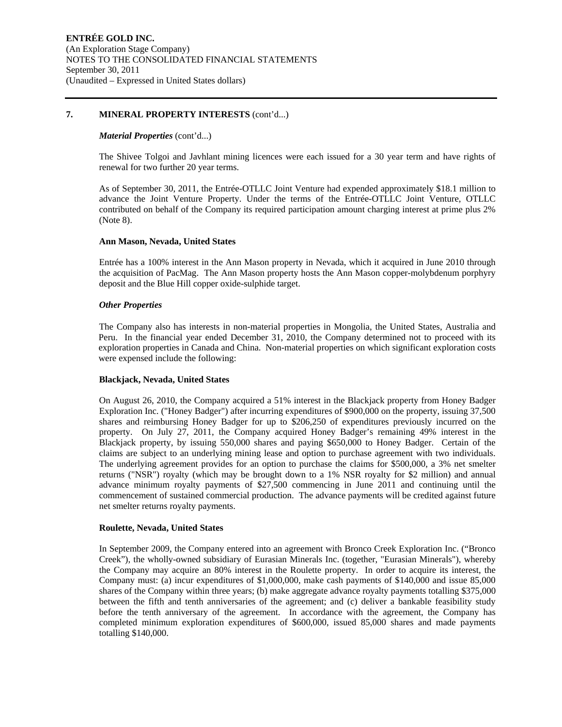#### **7. MINERAL PROPERTY INTERESTS** (cont'd...)

#### *Material Properties* (cont'd...)

The Shivee Tolgoi and Javhlant mining licences were each issued for a 30 year term and have rights of renewal for two further 20 year terms.

As of September 30, 2011, the Entrée-OTLLC Joint Venture had expended approximately \$18.1 million to advance the Joint Venture Property. Under the terms of the Entrée-OTLLC Joint Venture, OTLLC contributed on behalf of the Company its required participation amount charging interest at prime plus 2% (Note 8).

#### **Ann Mason, Nevada, United States**

Entrée has a 100% interest in the Ann Mason property in Nevada, which it acquired in June 2010 through the acquisition of PacMag. The Ann Mason property hosts the Ann Mason copper-molybdenum porphyry deposit and the Blue Hill copper oxide-sulphide target.

#### *Other Properties*

The Company also has interests in non-material properties in Mongolia, the United States, Australia and Peru. In the financial year ended December 31, 2010, the Company determined not to proceed with its exploration properties in Canada and China. Non-material properties on which significant exploration costs were expensed include the following:

#### **Blackjack, Nevada, United States**

On August 26, 2010, the Company acquired a 51% interest in the Blackjack property from Honey Badger Exploration Inc. ("Honey Badger") after incurring expenditures of \$900,000 on the property, issuing 37,500 shares and reimbursing Honey Badger for up to \$206,250 of expenditures previously incurred on the property. On July 27, 2011, the Company acquired Honey Badger's remaining 49% interest in the Blackjack property, by issuing 550,000 shares and paying \$650,000 to Honey Badger. Certain of the claims are subject to an underlying mining lease and option to purchase agreement with two individuals. The underlying agreement provides for an option to purchase the claims for \$500,000, a 3% net smelter returns ("NSR") royalty (which may be brought down to a 1% NSR royalty for \$2 million) and annual advance minimum royalty payments of \$27,500 commencing in June 2011 and continuing until the commencement of sustained commercial production. The advance payments will be credited against future net smelter returns royalty payments.

#### **Roulette, Nevada, United States**

In September 2009, the Company entered into an agreement with Bronco Creek Exploration Inc. ("Bronco Creek"), the wholly-owned subsidiary of Eurasian Minerals Inc. (together, "Eurasian Minerals"), whereby the Company may acquire an 80% interest in the Roulette property. In order to acquire its interest, the Company must: (a) incur expenditures of \$1,000,000, make cash payments of \$140,000 and issue 85,000 shares of the Company within three years; (b) make aggregate advance royalty payments totalling \$375,000 between the fifth and tenth anniversaries of the agreement; and (c) deliver a bankable feasibility study before the tenth anniversary of the agreement. In accordance with the agreement, the Company has completed minimum exploration expenditures of \$600,000, issued 85,000 shares and made payments totalling \$140,000.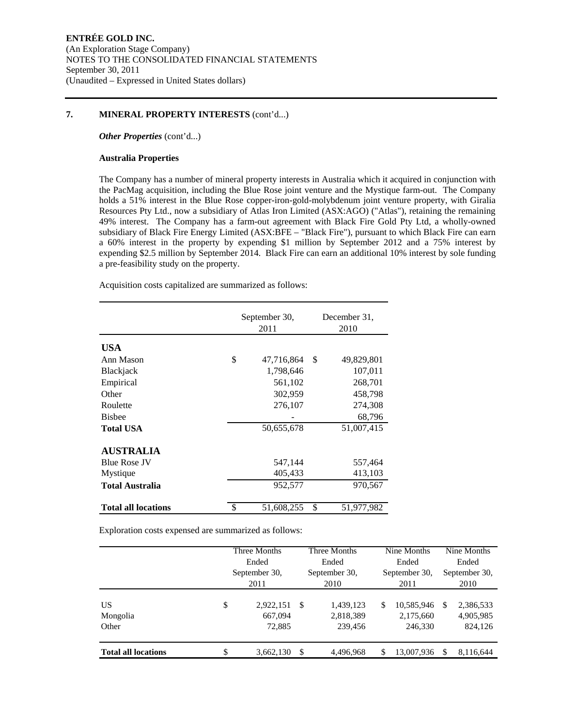### **7. MINERAL PROPERTY INTERESTS** (cont'd...)

*Other Properties* (cont'd...)

#### **Australia Properties**

The Company has a number of mineral property interests in Australia which it acquired in conjunction with the PacMag acquisition, including the Blue Rose joint venture and the Mystique farm-out. The Company holds a 51% interest in the Blue Rose copper-iron-gold-molybdenum joint venture property, with Giralia Resources Pty Ltd., now a subsidiary of Atlas Iron Limited (ASX:AGO) ("Atlas"), retaining the remaining 49% interest. The Company has a farm-out agreement with Black Fire Gold Pty Ltd, a wholly-owned subsidiary of Black Fire Energy Limited (ASX:BFE – "Black Fire"), pursuant to which Black Fire can earn a 60% interest in the property by expending \$1 million by September 2012 and a 75% interest by expending \$2.5 million by September 2014. Black Fire can earn an additional 10% interest by sole funding a pre-feasibility study on the property.

Acquisition costs capitalized are summarized as follows:

|                            | September 30,<br>2011 |    | December 31.<br>2010 |
|----------------------------|-----------------------|----|----------------------|
| <b>USA</b>                 |                       |    |                      |
| Ann Mason                  | \$<br>47,716,864      | S  | 49,829,801           |
| Blackjack                  | 1,798,646             |    | 107,011              |
| Empirical                  | 561,102               |    | 268,701              |
| Other                      | 302,959               |    | 458,798              |
| Roulette                   | 276,107               |    | 274,308              |
| <b>Bishee</b>              |                       |    | 68,796               |
| <b>Total USA</b>           | 50,655,678            |    | 51,007,415           |
| <b>AUSTRALIA</b>           |                       |    |                      |
| <b>Blue Rose JV</b>        | 547,144               |    | 557,464              |
| Mystique                   | 405,433               |    | 413,103              |
| Total Australia            | 952,577               |    | 970,567              |
| <b>Total all locations</b> | \$<br>51,608,255      | \$ | 51,977,982           |

Exploration costs expensed are summarized as follows:

|                            | Three Months<br>Ended<br>September 30,<br>2011 |                                | Three Months<br>Ended<br>September 30,<br>2010 |                                   | Nine Months<br>Ended<br>September 30,<br>2011 |                                    | Nine Months<br>Ended<br>September 30,<br>2010 |                                   |
|----------------------------|------------------------------------------------|--------------------------------|------------------------------------------------|-----------------------------------|-----------------------------------------------|------------------------------------|-----------------------------------------------|-----------------------------------|
| US<br>Mongolia<br>Other    | \$                                             | 2,922,151<br>667,094<br>72,885 | - \$                                           | 1,439,123<br>2,818,389<br>239,456 | S                                             | 10,585,946<br>2,175,660<br>246,330 | -S                                            | 2,386,533<br>4,905,985<br>824,126 |
| <b>Total all locations</b> | \$                                             | 3,662,130                      | S                                              | 4,496,968                         | S                                             | 13,007,936                         |                                               | 8,116,644                         |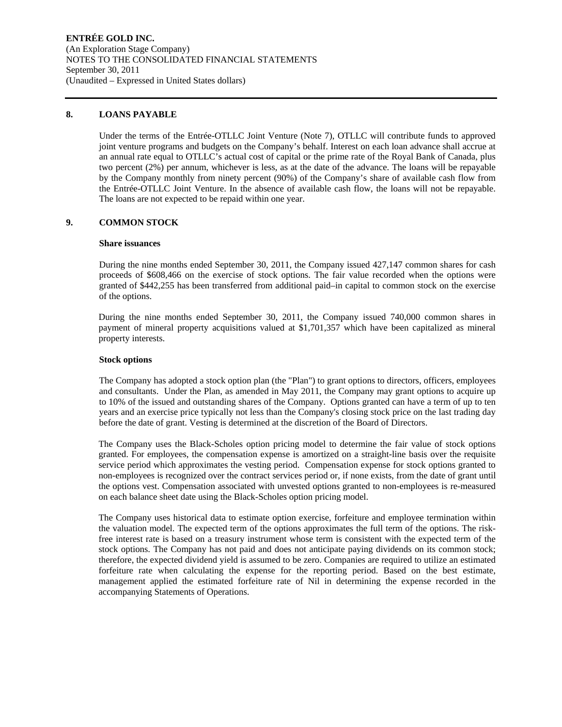### **8. LOANS PAYABLE**

Under the terms of the Entrée-OTLLC Joint Venture (Note 7), OTLLC will contribute funds to approved joint venture programs and budgets on the Company's behalf. Interest on each loan advance shall accrue at an annual rate equal to OTLLC's actual cost of capital or the prime rate of the Royal Bank of Canada, plus two percent (2%) per annum, whichever is less, as at the date of the advance. The loans will be repayable by the Company monthly from ninety percent (90%) of the Company's share of available cash flow from the Entrée-OTLLC Joint Venture. In the absence of available cash flow, the loans will not be repayable. The loans are not expected to be repaid within one year.

## **9. COMMON STOCK**

#### **Share issuances**

During the nine months ended September 30, 2011, the Company issued 427,147 common shares for cash proceeds of \$608,466 on the exercise of stock options. The fair value recorded when the options were granted of \$442,255 has been transferred from additional paid–in capital to common stock on the exercise of the options.

During the nine months ended September 30, 2011, the Company issued 740,000 common shares in payment of mineral property acquisitions valued at \$1,701,357 which have been capitalized as mineral property interests.

#### **Stock options**

The Company has adopted a stock option plan (the "Plan") to grant options to directors, officers, employees and consultants. Under the Plan, as amended in May 2011, the Company may grant options to acquire up to 10% of the issued and outstanding shares of the Company. Options granted can have a term of up to ten years and an exercise price typically not less than the Company's closing stock price on the last trading day before the date of grant. Vesting is determined at the discretion of the Board of Directors.

The Company uses the Black-Scholes option pricing model to determine the fair value of stock options granted. For employees, the compensation expense is amortized on a straight-line basis over the requisite service period which approximates the vesting period. Compensation expense for stock options granted to non-employees is recognized over the contract services period or, if none exists, from the date of grant until the options vest. Compensation associated with unvested options granted to non-employees is re-measured on each balance sheet date using the Black-Scholes option pricing model.

The Company uses historical data to estimate option exercise, forfeiture and employee termination within the valuation model. The expected term of the options approximates the full term of the options. The riskfree interest rate is based on a treasury instrument whose term is consistent with the expected term of the stock options. The Company has not paid and does not anticipate paying dividends on its common stock; therefore, the expected dividend yield is assumed to be zero. Companies are required to utilize an estimated forfeiture rate when calculating the expense for the reporting period. Based on the best estimate, management applied the estimated forfeiture rate of Nil in determining the expense recorded in the accompanying Statements of Operations.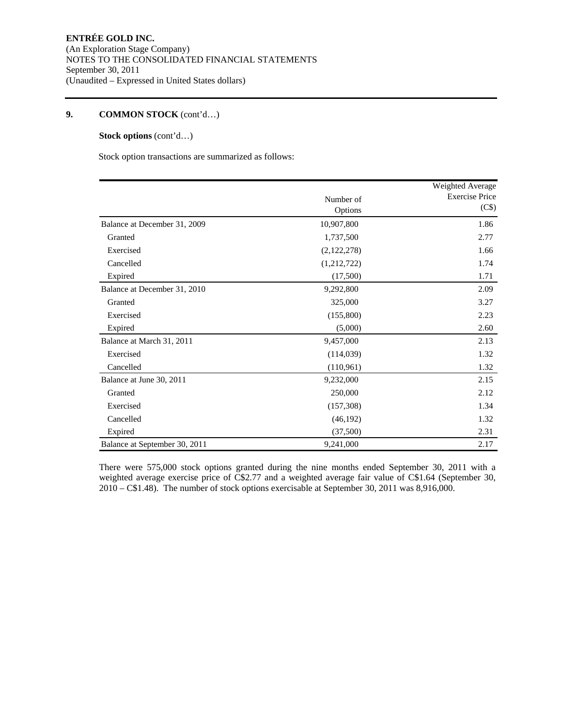# **9. COMMON STOCK** (cont'd…)

# **Stock options** (cont'd…)

Stock option transactions are summarized as follows:

|                               |             | Weighted Average      |
|-------------------------------|-------------|-----------------------|
|                               | Number of   | <b>Exercise Price</b> |
|                               | Options     | (C <sub>s</sub> )     |
| Balance at December 31, 2009  | 10,907,800  | 1.86                  |
| Granted                       | 1,737,500   | 2.77                  |
| Exercised                     | (2,122,278) | 1.66                  |
| Cancelled                     | (1,212,722) | 1.74                  |
| Expired                       | (17,500)    | 1.71                  |
| Balance at December 31, 2010  | 9,292,800   | 2.09                  |
| Granted                       | 325,000     | 3.27                  |
| Exercised                     | (155,800)   | 2.23                  |
| Expired                       | (5,000)     | 2.60                  |
| Balance at March 31, 2011     | 9,457,000   | 2.13                  |
| Exercised                     | (114, 039)  | 1.32                  |
| Cancelled                     | (110, 961)  | 1.32                  |
| Balance at June 30, 2011      | 9,232,000   | 2.15                  |
| Granted                       | 250,000     | 2.12                  |
| Exercised                     | (157,308)   | 1.34                  |
| Cancelled                     | (46, 192)   | 1.32                  |
| Expired                       | (37,500)    | 2.31                  |
| Balance at September 30, 2011 | 9,241,000   | 2.17                  |

There were 575,000 stock options granted during the nine months ended September 30, 2011 with a weighted average exercise price of C\$2.77 and a weighted average fair value of C\$1.64 (September 30, 2010 – C\$1.48). The number of stock options exercisable at September 30, 2011 was 8,916,000.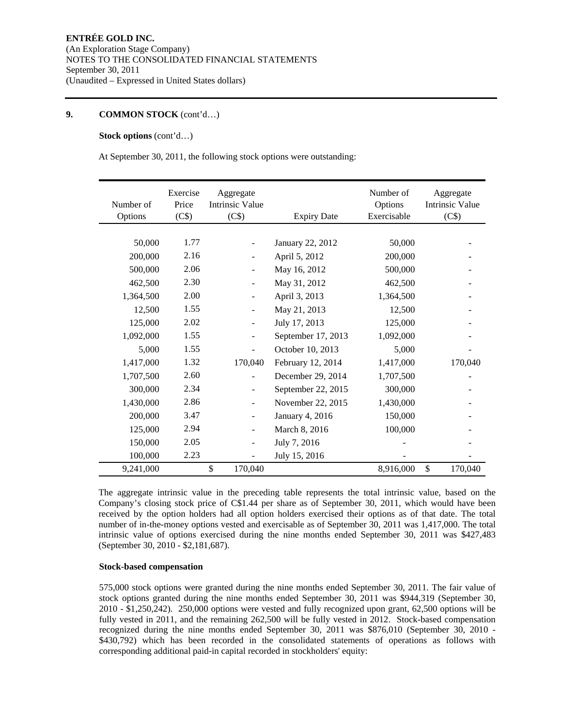### **9. COMMON STOCK** (cont'd…)

#### **Stock options** (cont'd…)

At September 30, 2011, the following stock options were outstanding:

| Number of<br>Options | Exercise<br>Price<br>(C\$) | Aggregate<br><b>Intrinsic Value</b><br>(C\$) | <b>Expiry Date</b> | Number of<br>Options<br>Exercisable | Aggregate<br><b>Intrinsic Value</b><br>(C\$) |
|----------------------|----------------------------|----------------------------------------------|--------------------|-------------------------------------|----------------------------------------------|
|                      |                            |                                              |                    |                                     |                                              |
| 50,000               | 1.77                       |                                              | January 22, 2012   | 50,000                              |                                              |
| 200,000              | 2.16                       |                                              | April 5, 2012      | 200,000                             |                                              |
| 500,000              | 2.06                       |                                              | May 16, 2012       | 500,000                             |                                              |
| 462,500              | 2.30                       |                                              | May 31, 2012       | 462,500                             |                                              |
| 1,364,500            | 2.00                       |                                              | April 3, 2013      | 1,364,500                           |                                              |
| 12,500               | 1.55                       |                                              | May 21, 2013       | 12,500                              |                                              |
| 125,000              | 2.02                       | $\overline{\phantom{0}}$                     | July 17, 2013      | 125,000                             |                                              |
| 1,092,000            | 1.55                       |                                              | September 17, 2013 | 1,092,000                           |                                              |
| 5,000                | 1.55                       |                                              | October 10, 2013   | 5,000                               |                                              |
| 1,417,000            | 1.32                       | 170,040                                      | February 12, 2014  | 1,417,000                           | 170,040                                      |
| 1,707,500            | 2.60                       |                                              | December 29, 2014  | 1,707,500                           |                                              |
| 300,000              | 2.34                       |                                              | September 22, 2015 | 300,000                             |                                              |
| 1,430,000            | 2.86                       |                                              | November 22, 2015  | 1,430,000                           |                                              |
| 200,000              | 3.47                       |                                              | January 4, 2016    | 150,000                             |                                              |
| 125,000              | 2.94                       |                                              | March 8, 2016      | 100,000                             |                                              |
| 150,000              | 2.05                       |                                              | July 7, 2016       |                                     |                                              |
| 100,000              | 2.23                       |                                              | July 15, 2016      |                                     |                                              |
| 9,241,000            |                            | \$<br>170,040                                |                    | 8,916,000                           | \$<br>170,040                                |

The aggregate intrinsic value in the preceding table represents the total intrinsic value, based on the Company's closing stock price of C\$1.44 per share as of September 30, 2011, which would have been received by the option holders had all option holders exercised their options as of that date. The total number of in-the-money options vested and exercisable as of September 30, 2011 was 1,417,000. The total intrinsic value of options exercised during the nine months ended September 30, 2011 was \$427,483 (September 30, 2010 - \$2,181,687).

#### **Stock-based compensation**

575,000 stock options were granted during the nine months ended September 30, 2011. The fair value of stock options granted during the nine months ended September 30, 2011 was \$944,319 (September 30, 2010 - \$1,250,242). 250,000 options were vested and fully recognized upon grant, 62,500 options will be fully vested in 2011, and the remaining 262,500 will be fully vested in 2012. Stock-based compensation recognized during the nine months ended September 30, 2011 was \$876,010 (September 30, 2010 - \$430,792) which has been recorded in the consolidated statements of operations as follows with corresponding additional paid-in capital recorded in stockholders' equity: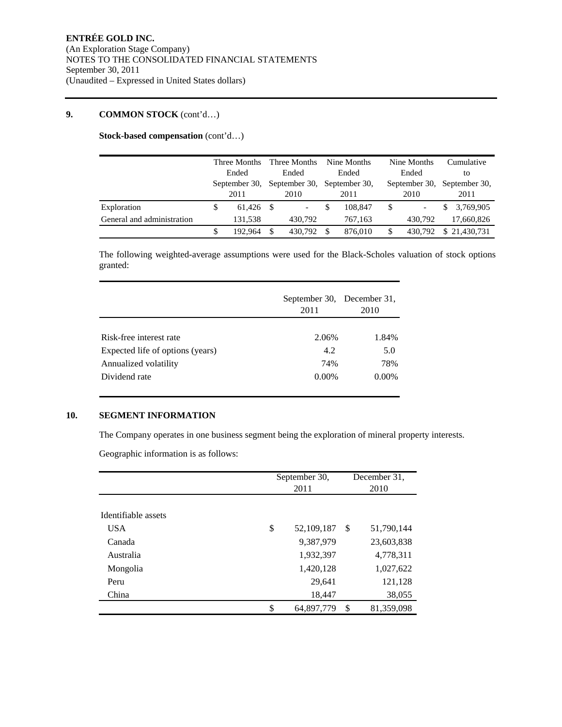# **9. COMMON STOCK** (cont'd…)

**Stock-based compensation** (cont'd…)

|                            |  | Three Months<br>Ended<br>September 30, |      | Three Months<br>Nine Months<br>Ended<br>Ended<br>September 30, September 30, |    |         | Nine Months |                             |    | Cumulative   |
|----------------------------|--|----------------------------------------|------|------------------------------------------------------------------------------|----|---------|-------------|-----------------------------|----|--------------|
|                            |  |                                        |      |                                                                              |    |         |             | Ended                       |    | tο           |
|                            |  |                                        |      |                                                                              |    |         |             | September 30, September 30, |    |              |
|                            |  | 2011                                   |      | 2010                                                                         |    | 2011    |             | 2010                        |    | 2011         |
| Exploration                |  | 61.426                                 | - \$ | $\overline{\phantom{a}}$                                                     | \$ | 108,847 |             | $\overline{\phantom{a}}$    | S. | 3,769,905    |
| General and administration |  | 131.538                                |      | 430.792                                                                      |    | 767.163 |             | 430.792                     |    | 17,660,826   |
|                            |  | 192.964                                | S    | 430.792                                                                      | S  | 876,010 |             | 430.792                     |    | \$21,430,731 |

The following weighted-average assumptions were used for the Black-Scholes valuation of stock options granted:

|                                  | September 30, December 31,<br>2011 | 2010     |  |  |
|----------------------------------|------------------------------------|----------|--|--|
|                                  |                                    |          |  |  |
| Risk-free interest rate          | 2.06%                              | 1.84%    |  |  |
| Expected life of options (years) | 4.2                                | 5.0      |  |  |
| Annualized volatility            | 74%                                | 78%      |  |  |
| Dividend rate                    | $0.00\%$                           | $0.00\%$ |  |  |

## **10. SEGMENT INFORMATION**

The Company operates in one business segment being the exploration of mineral property interests.

Geographic information is as follows:

|                     | September 30,<br>2011 |    | December 31,<br>2010 |
|---------------------|-----------------------|----|----------------------|
| Identifiable assets |                       |    |                      |
| USA                 | \$<br>52,109,187      | S  | 51,790,144           |
| Canada              | 9,387,979             |    | 23,603,838           |
| Australia           | 1,932,397             |    | 4,778,311            |
| Mongolia            | 1,420,128             |    | 1,027,622            |
| Peru                | 29.641                |    | 121,128              |
| China               | 18,447                |    | 38,055               |
|                     | \$<br>64,897,779      | \$ | 81,359,098           |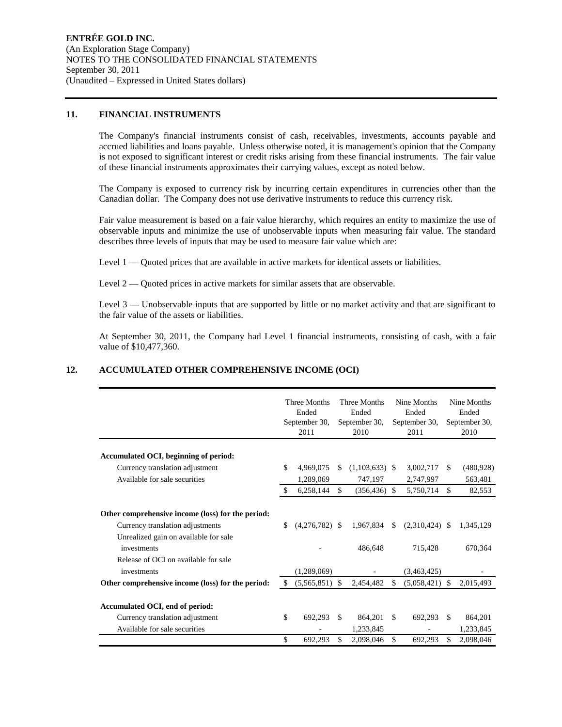#### **11. FINANCIAL INSTRUMENTS**

The Company's financial instruments consist of cash, receivables, investments, accounts payable and accrued liabilities and loans payable. Unless otherwise noted, it is management's opinion that the Company is not exposed to significant interest or credit risks arising from these financial instruments. The fair value of these financial instruments approximates their carrying values, except as noted below.

The Company is exposed to currency risk by incurring certain expenditures in currencies other than the Canadian dollar. The Company does not use derivative instruments to reduce this currency risk.

Fair value measurement is based on a fair value hierarchy, which requires an entity to maximize the use of observable inputs and minimize the use of unobservable inputs when measuring fair value. The standard describes three levels of inputs that may be used to measure fair value which are:

Level 1 — Quoted prices that are available in active markets for identical assets or liabilities.

Level 2 — Quoted prices in active markets for similar assets that are observable.

Level 3 — Unobservable inputs that are supported by little or no market activity and that are significant to the fair value of the assets or liabilities.

At September 30, 2011, the Company had Level 1 financial instruments, consisting of cash, with a fair value of \$10,477,360.

## **12. ACCUMULATED OTHER COMPREHENSIVE INCOME (OCI)**

|                                                                                                                                                                                                      |     | Three Months<br>Ended<br>September 30,<br>2011 |     | Three Months<br>Ended<br>September 30,<br>2010 |     | Nine Months<br>Ended<br>September 30,<br>2011 |               | Nine Months<br>Ended<br>September 30,<br>2010 |
|------------------------------------------------------------------------------------------------------------------------------------------------------------------------------------------------------|-----|------------------------------------------------|-----|------------------------------------------------|-----|-----------------------------------------------|---------------|-----------------------------------------------|
| Accumulated OCI, beginning of period:                                                                                                                                                                |     |                                                |     |                                                |     |                                               |               |                                               |
| Currency translation adjustment                                                                                                                                                                      | \$  | 4,969,075                                      | \$. | $(1,103,633)$ \$                               |     | 3,002,717                                     | -S            | (480, 928)                                    |
| Available for sale securities                                                                                                                                                                        |     | 1,289,069                                      |     | 747,197                                        |     | 2,747,997                                     |               | 563,481                                       |
|                                                                                                                                                                                                      | -S  | 6,258,144                                      | \$  | (356, 436)                                     | -\$ | 5,750,714                                     | \$.           | 82,553                                        |
| Other comprehensive income (loss) for the period:<br>Currency translation adjustments<br>Unrealized gain on available for sale<br>investments<br>Release of OCI on available for sale<br>investments | \$. | $(4.276.782)$ \$<br>(1,289,069)                |     | 1.967.834<br>486,648                           | S   | $(2,310,424)$ \$<br>715,428<br>(3,463,425)    |               | 1,345,129<br>670,364                          |
| Other comprehensive income (loss) for the period:                                                                                                                                                    | \$. | (5,565,851)                                    | \$  | 2,454,482                                      | \$  | (5,058,421)                                   | <sup>\$</sup> | 2,015,493                                     |
| Accumulated OCI, end of period:<br>Currency translation adjustment<br>Available for sale securities                                                                                                  | \$  | 692.293                                        | \$  | 864,201<br>1,233,845                           | \$  | 692.293                                       | -S            | 864,201<br>1,233,845                          |
|                                                                                                                                                                                                      | \$  | 692,293                                        | \$  | 2,098,046                                      | \$  | 692,293                                       | \$            | 2,098,046                                     |